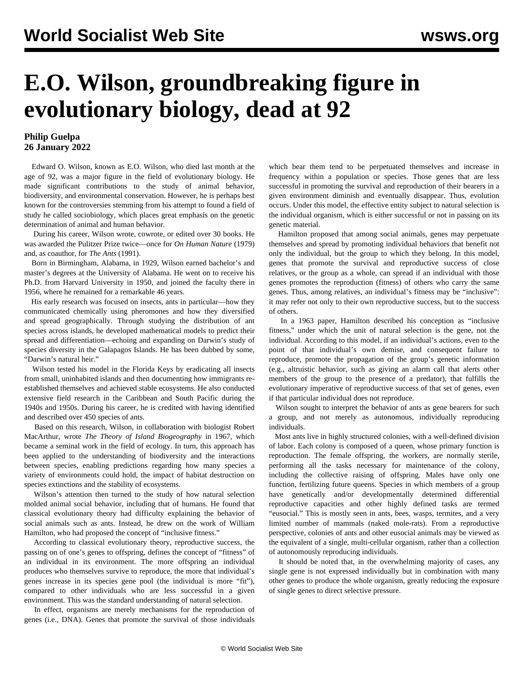## **E.O. Wilson, groundbreaking figure in evolutionary biology, dead at 92**

## **Philip Guelpa 26 January 2022**

 Edward O. Wilson, known as E.O. Wilson, who died last month at the age of 92, was a major figure in the field of evolutionary biology. He made significant contributions to the study of animal behavior, biodiversity, and environmental conservation. However, he is perhaps best known for the controversies stemming from his attempt to found a field of study he called sociobiology, which places great emphasis on the genetic determination of animal and human behavior.

 During his career, Wilson wrote, cowrote, or edited over 30 books. He was awarded the Pulitzer Prize twice—once for *On Human Nature* (1979) and, as coauthor, for *The Ants* (1991).

 Born in Birmingham, Alabama, in 1929, Wilson earned bachelor's and master's degrees at the University of Alabama. He went on to receive his Ph.D. from Harvard University in 1950, and joined the faculty there in 1956, where he remained for a remarkable 46 years.

 His early research was focused on insects, ants in particular—how they communicated chemically using pheromones and how they diversified and spread geographically. Through studying the distribution of ant species across islands, he developed mathematical models to predict their spread and differentiation—echoing and expanding on Darwin's study of species diversity in the Galapagos Islands. He has been dubbed by some, "Darwin's natural heir."

 Wilson tested his model in the Florida Keys by eradicating all insects from small, uninhabited islands and then documenting how immigrants reestablished themselves and achieved stable ecosystems. He also conducted extensive field research in the Caribbean and South Pacific during the 1940s and 1950s. During his career, he is credited with having identified and described over 450 species of ants.

 Based on this research, Wilson, in collaboration with biologist Robert MacArthur, wrote *The Theory of Island Biogeography* in 1967, which became a seminal work in the field of ecology. In turn, this approach has been applied to the understanding of biodiversity and the interactions between species, enabling predictions regarding how many species a variety of environments could hold, the impact of habitat destruction on species extinctions and the stability of ecosystems.

 Wilson's attention then turned to the study of how natural selection molded animal social behavior, including that of humans. He found that classical evolutionary theory had difficulty explaining the behavior of social animals such as ants. Instead, he drew on the work of William Hamilton, who had proposed the concept of "inclusive fitness."

 According to classical evolutionary theory, reproductive success, the passing on of one's genes to offspring, defines the concept of "fitness" of an individual in its environment. The more offspring an individual produces who themselves survive to reproduce, the more that individual's genes increase in its species gene pool (the individual is more "fit"), compared to other individuals who are less successful in a given environment. This was the standard understanding of natural selection.

 In effect, organisms are merely mechanisms for the reproduction of genes (i.e., DNA). Genes that promote the survival of those individuals

which bear them tend to be perpetuated themselves and increase in frequency within a population or species. Those genes that are less successful in promoting the survival and reproduction of their bearers in a given environment diminish and eventually disappear. Thus, evolution occurs. Under this model, the effective entity subject to natural selection is the individual organism, which is either successful or not in passing on its genetic material.

 Hamilton proposed that among social animals, genes may perpetuate themselves and spread by promoting individual behaviors that benefit not only the individual, but the group to which they belong. In this model, genes that promote the survival and reproductive success of close relatives, or the group as a whole, can spread if an individual with those genes promotes the reproduction (fitness) of others who carry the same genes. Thus, among relatives, an individual's fitness may be "inclusive": it may refer not only to their own reproductive success, but to the success of others.

 In a 1963 paper, Hamilton described his conception as "inclusive fitness," under which the unit of natural selection is the gene, not the individual. According to this model, if an individual's actions, even to the point of that individual's own demise, and consequent failure to reproduce, promote the propagation of the group's genetic information (e.g., altruistic behavior, such as giving an alarm call that alerts other members of the group to the presence of a predator), that fulfills the evolutionary imperative of reproductive success of that set of genes, even if that particular individual does not reproduce.

 Wilson sought to interpret the behavior of ants as gene bearers for such a group, and not merely as autonomous, individually reproducing individuals.

 Most ants live in highly structured colonies, with a well-defined division of labor. Each colony is composed of a queen, whose primary function is reproduction. The female offspring, the workers, are normally sterile, performing all the tasks necessary for maintenance of the colony, including the collective raising of offspring. Males have only one function, fertilizing future queens. Species in which members of a group have genetically and/or developmentally determined differential reproductive capacities and other highly defined tasks are termed "eusocial." This is mostly seen in ants, bees, wasps, termites, and a very limited number of mammals (naked mole-rats). From a reproductive perspective, colonies of ants and other eusocial animals may be viewed as the equivalent of a single, multi-cellular organism, rather than a collection of autonomously reproducing individuals.

 It should be noted that, in the overwhelming majority of cases, any single gene is not expressed individually but in combination with many other genes to produce the whole organism, greatly reducing the exposure of single genes to direct selective pressure.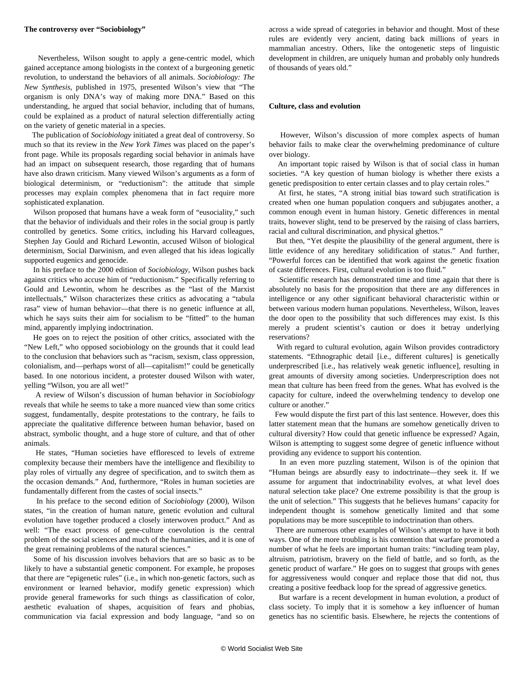## **The controversy over "Sociobiology"**

 Nevertheless, Wilson sought to apply a gene-centric model, which gained acceptance among biologists in the context of a burgeoning genetic revolution, to understand the behaviors of all animals. *Sociobiology: The New Synthesis*, published in 1975, presented Wilson's view that "The organism is only DNA's way of making more DNA." Based on this understanding, he argued that social behavior, including that of humans, could be explained as a product of natural selection differentially acting on the variety of genetic material in a species.

 The publication of *Sociobiology* initiated a great deal of controversy. So much so that its review in the *New York Times* was placed on the paper's front page. While its proposals regarding social behavior in animals have had an impact on subsequent research, those regarding that of humans have also drawn criticism. Many viewed Wilson's arguments as a form of biological determinism, or "reductionism": the attitude that simple processes may explain complex phenomena that in fact require more sophisticated explanation.

 Wilson proposed that humans have a weak form of "eusociality," such that the behavior of individuals and their roles in the social group is partly controlled by genetics. Some critics, including his Harvard colleagues, [Stephen Jay Gould](/en/articles/2002/07/goul-j01.html) and [Richard Lewontin](/en/articles/2021/08/30/lewo-a30.html), accused Wilson of biological determinism, Social Darwinism, and even alleged that his ideas logically supported eugenics and genocide.

 In his preface to the 2000 edition of *Sociobiology*, Wilson pushes back against critics who accuse him of "reductionism." Specifically referring to Gould and Lewontin, whom he describes as the "last of the Marxist intellectuals," Wilson characterizes these critics as advocating a "tabula rasa" view of human behavior—that there is no genetic influence at all, which he says suits their aim for socialism to be "fitted" to the human mind, apparently implying indoctrination.

 He goes on to reject the position of other critics, associated with the "New Left," who opposed sociobiology on the grounds that it could lead to the conclusion that behaviors such as "racism, sexism, class oppression, colonialism, and—perhaps worst of all—capitalism!" could be genetically based. In one notorious incident, a protester doused Wilson with water, yelling "Wilson, you are all wet!"

 A review of Wilson's discussion of human behavior in *Sociobiology* reveals that while he seems to take a more nuanced view than some critics suggest, fundamentally, despite protestations to the contrary, he fails to appreciate the qualitative difference between human behavior, based on abstract, symbolic thought, and a huge store of culture, and that of other animals.

 He states, "Human societies have effloresced to levels of extreme complexity because their members have the intelligence and flexibility to play roles of virtually any degree of specification, and to switch them as the occasion demands." And, furthermore, "Roles in human societies are fundamentally different from the castes of social insects."

 In his preface to the second edition of *Sociobiology* (2000), Wilson states, "in the creation of human nature, genetic evolution and cultural evolution have together produced a closely interwoven product." And as well: "The exact process of gene-culture coevolution is the central problem of the social sciences and much of the humanities, and it is one of the great remaining problems of the natural sciences."

 Some of his discussion involves behaviors that are so basic as to be likely to have a substantial genetic component. For example, he proposes that there are "epigenetic rules" (i.e., in which non-genetic factors, such as environment or learned behavior, modify genetic expression) which provide general frameworks for such things as classification of color, aesthetic evaluation of shapes, acquisition of fears and phobias, communication via facial expression and body language, "and so on across a wide spread of categories in behavior and thought. Most of these rules are evidently very ancient, dating back millions of years in mammalian ancestry. Others, like the ontogenetic steps of linguistic development in children, are uniquely human and probably only hundreds of thousands of years old."

## **Culture, class and evolution**

 However, Wilson's discussion of more complex aspects of human behavior fails to make clear the overwhelming predominance of culture over biology.

 An important topic raised by Wilson is that of social class in human societies. "A key question of human biology is whether there exists a genetic predisposition to enter certain classes and to play certain roles."

 At first, he states, "A strong initial bias toward such stratification is created when one human population conquers and subjugates another, a common enough event in human history. Genetic differences in mental traits, however slight, tend to be preserved by the raising of class barriers, racial and cultural discrimination, and physical ghettos."

 But then, "Yet despite the plausibility of the general argument, there is little evidence of any hereditary solidification of status." And further, "Powerful forces can be identified that work against the genetic fixation of caste differences. First, cultural evolution is too fluid."

 Scientific research has demonstrated time and time again that there is absolutely no basis for the proposition that there are any differences in intelligence or any other significant behavioral characteristic within or between various modern [human populations.](/en/articles/2016/08/03/gene-a03.html) Nevertheless, Wilson, leaves the door open to the possibility that such differences may exist. Is this merely a prudent scientist's caution or does it betray underlying reservations?

 With regard to cultural evolution, again Wilson provides contradictory statements. "Ethnographic detail [i.e., different cultures] is genetically underprescribed [i.e., has relatively weak genetic influence], resulting in great amounts of diversity among societies. Underprescription does not mean that culture has been freed from the genes. What has evolved is the capacity for culture, indeed the overwhelming tendency to develop one culture or another."

 Few would dispute the first part of this last sentence. However, does this latter statement mean that the humans are somehow genetically driven to cultural diversity? How could that genetic influence be expressed? Again, Wilson is attempting to suggest some degree of genetic influence without providing any evidence to support his contention.

 In an even more puzzling statement, Wilson is of the opinion that "Human beings are absurdly easy to indoctrinate—they seek it. If we assume for argument that indoctrinability evolves, at what level does natural selection take place? One extreme possibility is that the group is the unit of selection." This suggests that he believes humans' capacity for independent thought is somehow genetically limited and that some populations may be more susceptible to indoctrination than others.

 There are numerous other examples of Wilson's attempt to have it both ways. One of the more troubling is his contention that warfare promoted a number of what he feels are important human traits: "including team play, altruism, patriotism, bravery on the field of battle, and so forth, as the genetic product of warfare." He goes on to suggest that groups with genes for aggressiveness would conquer and replace those that did not, thus creating a positive feedback loop for the spread of aggressive genetics.

 But warfare is a recent development in human evolution, a product of class society. To imply that it is somehow a key influencer of human genetics has no scientific basis. Elsewhere, he rejects the contentions of